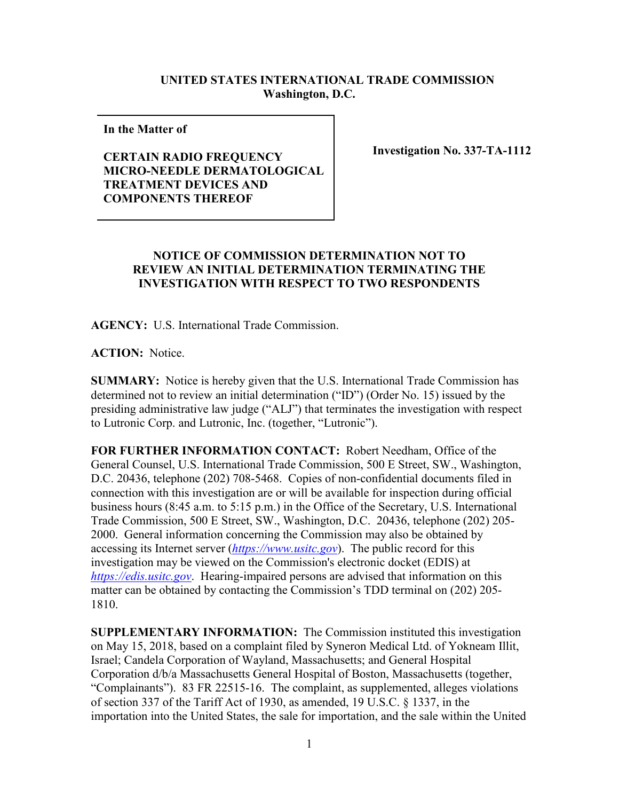## **UNITED STATES INTERNATIONAL TRADE COMMISSION Washington, D.C.**

**In the Matter of** 

## **CERTAIN RADIO FREQUENCY MICRO-NEEDLE DERMATOLOGICAL TREATMENT DEVICES AND COMPONENTS THEREOF**

**Investigation No. 337-TA-1112**

## **NOTICE OF COMMISSION DETERMINATION NOT TO REVIEW AN INITIAL DETERMINATION TERMINATING THE INVESTIGATION WITH RESPECT TO TWO RESPONDENTS**

**AGENCY:** U.S. International Trade Commission.

**ACTION:** Notice.

**SUMMARY:** Notice is hereby given that the U.S. International Trade Commission has determined not to review an initial determination ("ID") (Order No. 15) issued by the presiding administrative law judge ("ALJ") that terminates the investigation with respect to Lutronic Corp. and Lutronic, Inc. (together, "Lutronic").

**FOR FURTHER INFORMATION CONTACT:** Robert Needham, Office of the General Counsel, U.S. International Trade Commission, 500 E Street, SW., Washington, D.C. 20436, telephone (202) 708-5468. Copies of non-confidential documents filed in connection with this investigation are or will be available for inspection during official business hours (8:45 a.m. to 5:15 p.m.) in the Office of the Secretary, U.S. International Trade Commission, 500 E Street, SW., Washington, D.C. 20436, telephone (202) 205- 2000. General information concerning the Commission may also be obtained by accessing its Internet server (*[https://www.usitc.gov](https://www.usitc.gov/)*). The public record for this investigation may be viewed on the Commission's electronic docket (EDIS) at *[https://edis.usitc.gov](https://edis.usitc.gov/)*. Hearing-impaired persons are advised that information on this matter can be obtained by contacting the Commission's TDD terminal on (202) 205- 1810.

**SUPPLEMENTARY INFORMATION:** The Commission instituted this investigation on May 15, 2018, based on a complaint filed by Syneron Medical Ltd. of Yokneam Illit, Israel; Candela Corporation of Wayland, Massachusetts; and General Hospital Corporation d/b/a Massachusetts General Hospital of Boston, Massachusetts (together, "Complainants"). 83 FR 22515-16. The complaint, as supplemented, alleges violations of section 337 of the Tariff Act of 1930, as amended, 19 U.S.C. § 1337, in the importation into the United States, the sale for importation, and the sale within the United